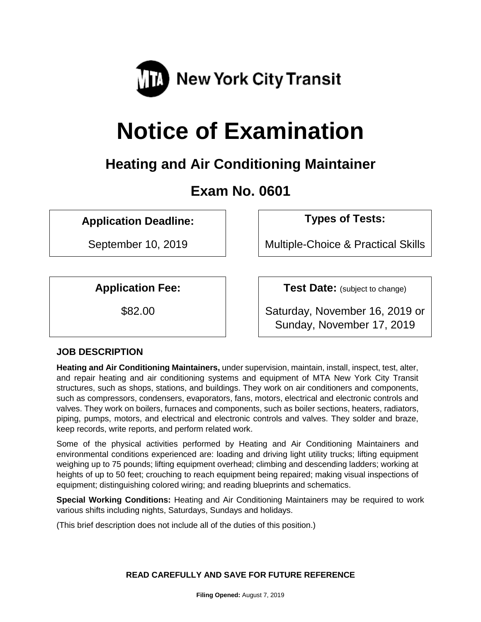

# **Notice of Examination**

# **Heating and Air Conditioning Maintainer**

# **Exam No. 0601**

# **Application Deadline: Types of Tests:**

September 10, 2019 | Multiple-Choice & Practical Skills

**Application Fee: Test Date:** (subject to change)

\$82.00 Saturday, November 16, 2019 or Sunday, November 17, 2019

# **JOB DESCRIPTION**

**Heating and Air Conditioning Maintainers,** under supervision, maintain, install, inspect, test, alter, and repair heating and air conditioning systems and equipment of MTA New York City Transit structures, such as shops, stations, and buildings. They work on air conditioners and components, such as compressors, condensers, evaporators, fans, motors, electrical and electronic controls and valves. They work on boilers, furnaces and components, such as boiler sections, heaters, radiators, piping, pumps, motors, and electrical and electronic controls and valves. They solder and braze, keep records, write reports, and perform related work.

Some of the physical activities performed by Heating and Air Conditioning Maintainers and environmental conditions experienced are: loading and driving light utility trucks; lifting equipment weighing up to 75 pounds; lifting equipment overhead; climbing and descending ladders; working at heights of up to 50 feet; crouching to reach equipment being repaired; making visual inspections of equipment; distinguishing colored wiring; and reading blueprints and schematics.

**Special Working Conditions:** Heating and Air Conditioning Maintainers may be required to work various shifts including nights, Saturdays, Sundays and holidays.

(This brief description does not include all of the duties of this position.)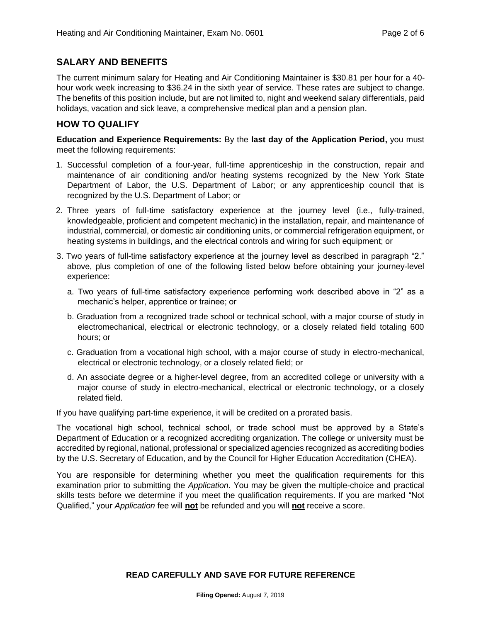# **SALARY AND BENEFITS**

The current minimum salary for Heating and Air Conditioning Maintainer is \$30.81 per hour for a 40 hour work week increasing to \$36.24 in the sixth year of service. These rates are subject to change. The benefits of this position include, but are not limited to, night and weekend salary differentials, paid holidays, vacation and sick leave, a comprehensive medical plan and a pension plan.

### **HOW TO QUALIFY**

**Education and Experience Requirements:** By the **last day of the Application Period,** you must meet the following requirements:

- 1. Successful completion of a four-year, full-time apprenticeship in the construction, repair and maintenance of air conditioning and/or heating systems recognized by the New York State Department of Labor, the U.S. Department of Labor; or any apprenticeship council that is recognized by the U.S. Department of Labor; or
- 2. Three years of full-time satisfactory experience at the journey level (i.e., fully-trained, knowledgeable, proficient and competent mechanic) in the installation, repair, and maintenance of industrial, commercial, or domestic air conditioning units, or commercial refrigeration equipment, or heating systems in buildings, and the electrical controls and wiring for such equipment; or
- 3. Two years of full-time satisfactory experience at the journey level as described in paragraph "2." above, plus completion of one of the following listed below before obtaining your journey-level experience:
	- a. Two years of full-time satisfactory experience performing work described above in "2" as a mechanic's helper, apprentice or trainee; or
	- b. Graduation from a recognized trade school or technical school, with a major course of study in electromechanical, electrical or electronic technology, or a closely related field totaling 600 hours; or
	- c. Graduation from a vocational high school, with a major course of study in electro-mechanical, electrical or electronic technology, or a closely related field; or
	- d. An associate degree or a higher-level degree, from an accredited college or university with a major course of study in electro-mechanical, electrical or electronic technology, or a closely related field.

If you have qualifying part-time experience, it will be credited on a prorated basis.

The vocational high school, technical school, or trade school must be approved by a State's Department of Education or a recognized accrediting organization. The college or university must be accredited by regional, national, professional or specialized agencies recognized as accrediting bodies by the U.S. Secretary of Education, and by the Council for Higher Education Accreditation (CHEA).

You are responsible for determining whether you meet the qualification requirements for this examination prior to submitting the *Application*. You may be given the multiple-choice and practical skills tests before we determine if you meet the qualification requirements. If you are marked "Not Qualified," your *Application* fee will **not** be refunded and you will **not** receive a score.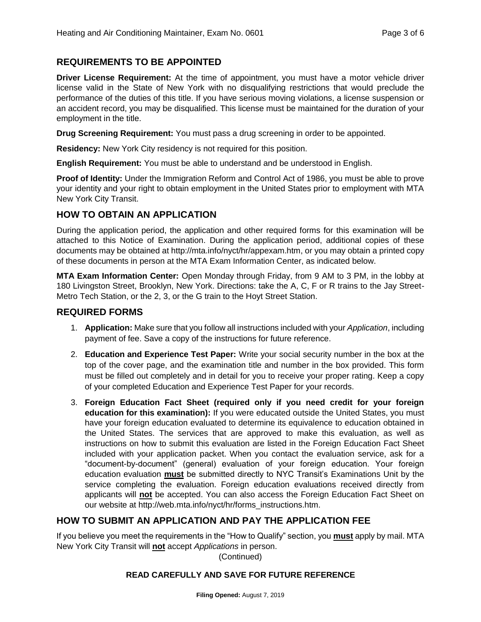# **REQUIREMENTS TO BE APPOINTED**

**Driver License Requirement:** At the time of appointment, you must have a motor vehicle driver license valid in the State of New York with no disqualifying restrictions that would preclude the performance of the duties of this title. If you have serious moving violations, a license suspension or an accident record, you may be disqualified. This license must be maintained for the duration of your employment in the title.

**Drug Screening Requirement:** You must pass a drug screening in order to be appointed.

**Residency:** New York City residency is not required for this position.

**English Requirement:** You must be able to understand and be understood in English.

**Proof of Identity:** Under the Immigration Reform and Control Act of 1986, you must be able to prove your identity and your right to obtain employment in the United States prior to employment with MTA New York City Transit.

# **HOW TO OBTAIN AN APPLICATION**

During the application period, the application and other required forms for this examination will be attached to this Notice of Examination. During the application period, additional copies of these documents may be obtained at http://mta.info/nyct/hr/appexam.htm, or you may obtain a printed copy of these documents in person at the MTA Exam Information Center, as indicated below.

**MTA Exam Information Center:** Open Monday through Friday, from 9 AM to 3 PM, in the lobby at 180 Livingston Street, Brooklyn, New York. Directions: take the A, C, F or R trains to the Jay Street-Metro Tech Station, or the 2, 3, or the G train to the Hoyt Street Station.

### **REQUIRED FORMS**

- 1. **Application:** Make sure that you follow all instructions included with your *Application*, including payment of fee. Save a copy of the instructions for future reference.
- 2. **Education and Experience Test Paper:** Write your social security number in the box at the top of the cover page, and the examination title and number in the box provided. This form must be filled out completely and in detail for you to receive your proper rating. Keep a copy of your completed Education and Experience Test Paper for your records.
- 3. **Foreign Education Fact Sheet (required only if you need credit for your foreign education for this examination):** If you were educated outside the United States, you must have your foreign education evaluated to determine its equivalence to education obtained in the United States. The services that are approved to make this evaluation, as well as instructions on how to submit this evaluation are listed in the Foreign Education Fact Sheet included with your application packet. When you contact the evaluation service, ask for a "document-by-document" (general) evaluation of your foreign education. Your foreign education evaluation **must** be submitted directly to NYC Transit's Examinations Unit by the service completing the evaluation. Foreign education evaluations received directly from applicants will **not** be accepted. You can also access the Foreign Education Fact Sheet on our website at http://web.mta.info/nyct/hr/forms\_instructions.htm.

# **HOW TO SUBMIT AN APPLICATION AND PAY THE APPLICATION FEE**

If you believe you meet the requirements in the "How to Qualify" section, you **must** apply by mail. MTA New York City Transit will **not** accept *Applications* in person.

(Continued)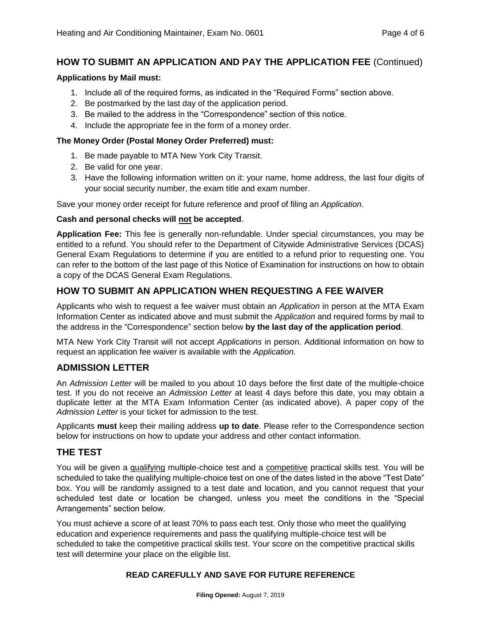# **HOW TO SUBMIT AN APPLICATION AND PAY THE APPLICATION FEE** (Continued)

#### **Applications by Mail must:**

- 1. Include all of the required forms, as indicated in the "Required Forms" section above.
- 2. Be postmarked by the last day of the application period.
- 3. Be mailed to the address in the "Correspondence" section of this notice.
- 4. Include the appropriate fee in the form of a money order.

#### **The Money Order (Postal Money Order Preferred) must:**

- 1. Be made payable to MTA New York City Transit.
- 2. Be valid for one year.
- 3. Have the following information written on it: your name, home address, the last four digits of your social security number, the exam title and exam number.

Save your money order receipt for future reference and proof of filing an *Application*.

#### **Cash and personal checks will not be accepted**.

**Application Fee:** This fee is generally non-refundable. Under special circumstances, you may be entitled to a refund. You should refer to the Department of Citywide Administrative Services (DCAS) General Exam Regulations to determine if you are entitled to a refund prior to requesting one. You can refer to the bottom of the last page of this Notice of Examination for instructions on how to obtain a copy of the DCAS General Exam Regulations.

# **HOW TO SUBMIT AN APPLICATION WHEN REQUESTING A FEE WAIVER**

Applicants who wish to request a fee waiver must obtain an *Application* in person at the MTA Exam Information Center as indicated above and must submit the *Application* and required forms by mail to the address in the "Correspondence" section below **by the last day of the application period**.

MTA New York City Transit will not accept *Applications* in person. Additional information on how to request an application fee waiver is available with the *Application.*

#### **ADMISSION LETTER**

An *Admission Letter* will be mailed to you about 10 days before the first date of the multiple-choice test. If you do not receive an *Admission Letter* at least 4 days before this date, you may obtain a duplicate letter at the MTA Exam Information Center (as indicated above). A paper copy of the *Admission Letter* is your ticket for admission to the test.

Applicants **must** keep their mailing address **up to date**. Please refer to the Correspondence section below for instructions on how to update your address and other contact information.

#### **THE TEST**

You will be given a qualifying multiple-choice test and a competitive practical skills test. You will be scheduled to take the qualifying multiple-choice test on one of the dates listed in the above "Test Date" box. You will be randomly assigned to a test date and location, and you cannot request that your scheduled test date or location be changed, unless you meet the conditions in the "Special Arrangements" section below.

You must achieve a score of at least 70% to pass each test. Only those who meet the qualifying education and experience requirements and pass the qualifying multiple-choice test will be scheduled to take the competitive practical skills test. Your score on the competitive practical skills test will determine your place on the eligible list.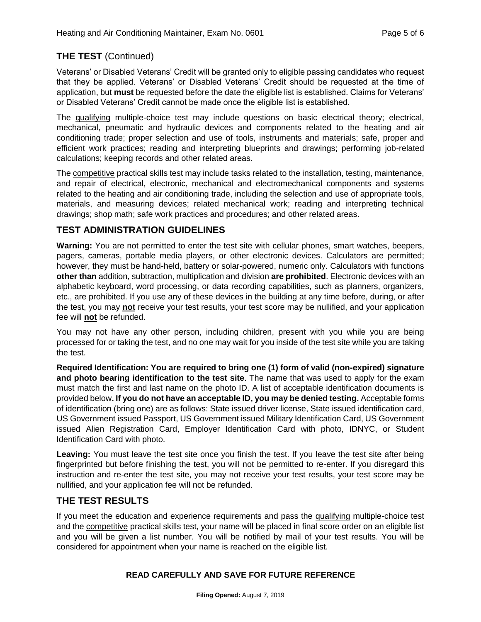# **THE TEST** (Continued)

Veterans' or Disabled Veterans' Credit will be granted only to eligible passing candidates who request that they be applied. Veterans' or Disabled Veterans' Credit should be requested at the time of application, but **must** be requested before the date the eligible list is established. Claims for Veterans' or Disabled Veterans' Credit cannot be made once the eligible list is established.

The qualifying multiple-choice test may include questions on basic electrical theory; electrical, mechanical, pneumatic and hydraulic devices and components related to the heating and air conditioning trade; proper selection and use of tools, instruments and materials; safe, proper and efficient work practices; reading and interpreting blueprints and drawings; performing job-related calculations; keeping records and other related areas.

The competitive practical skills test may include tasks related to the installation, testing, maintenance, and repair of electrical, electronic, mechanical and electromechanical components and systems related to the heating and air conditioning trade, including the selection and use of appropriate tools, materials, and measuring devices; related mechanical work; reading and interpreting technical drawings; shop math; safe work practices and procedures; and other related areas.

# **TEST ADMINISTRATION GUIDELINES**

**Warning:** You are not permitted to enter the test site with cellular phones, smart watches, beepers, pagers, cameras, portable media players, or other electronic devices. Calculators are permitted; however, they must be hand-held, battery or solar-powered, numeric only. Calculators with functions **other than** addition, subtraction, multiplication and division **are prohibited**. Electronic devices with an alphabetic keyboard, word processing, or data recording capabilities, such as planners, organizers, etc., are prohibited. If you use any of these devices in the building at any time before, during, or after the test, you may **not** receive your test results, your test score may be nullified, and your application fee will **not** be refunded.

You may not have any other person, including children, present with you while you are being processed for or taking the test, and no one may wait for you inside of the test site while you are taking the test.

**Required Identification: You are required to bring one (1) form of valid (non-expired) signature and photo bearing identification to the test site**. The name that was used to apply for the exam must match the first and last name on the photo ID. A list of acceptable identification documents is provided below**. If you do not have an acceptable ID, you may be denied testing.** Acceptable forms of identification (bring one) are as follows: State issued driver license, State issued identification card, US Government issued Passport, US Government issued Military Identification Card, US Government issued Alien Registration Card, Employer Identification Card with photo, IDNYC, or Student Identification Card with photo.

**Leaving:** You must leave the test site once you finish the test. If you leave the test site after being fingerprinted but before finishing the test, you will not be permitted to re-enter. If you disregard this instruction and re-enter the test site, you may not receive your test results, your test score may be nullified, and your application fee will not be refunded.

# **THE TEST RESULTS**

If you meet the education and experience requirements and pass the qualifying multiple-choice test and the competitive practical skills test, your name will be placed in final score order on an eligible list and you will be given a list number. You will be notified by mail of your test results. You will be considered for appointment when your name is reached on the eligible list.